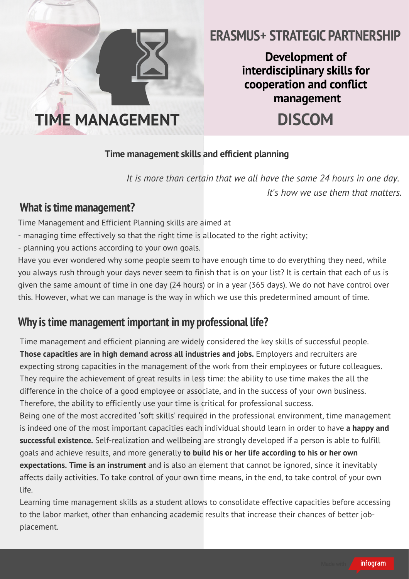

# **ERASMUS+ STRATEGIC PARTNERSHIP**

**Development of interdisciplinary skills for cooperation and conict management**

#### **Time** management skills and efficient planning

*It is more than certain that we all have the same 24 hours in one day. It's how we use them that matters.*

### **What istime management?**

Time Management and Efficient Planning skills are aimed at

- managing time effectively so that the right time is allocated to the right activity;
- planning you actions according to your own goals.

Have you ever wondered why some people seem to have enough time to do everything they need, while you always rush through your days never seem to finish that is on your list? It is certain that each of us is given the same amount of time in one day (24 hours) or in a year (365 days). We do not have control over this. However, what we can manage is the way in which we use this predetermined amount of time.

# **Why istime management important in my professional life?**

Time management and efficient planning are widely considered the key skills of successful people. **Those capacities are in high demand across all industries and jobs.** Employers and recruiters are expecting strong capacities in the management of the work from their employees or future colleagues. They require the achievement of great results in less time: the ability to use time makes the all the difference in the choice of a good employee or associate, and in the success of your own business. Therefore, the ability to efficiently use your time is critical for professional success. Being one of the most accredited 'soft skills' required in the professional environment, time management is indeed one of the most important capacities each individual should learn in order to have **a happy and**

**successful existence.** Self-realization and wellbeing are strongly developed if a person is able to fulfill goals and achieve results, and more generally **to build his or her life according to his or her own expectations. Time is an instrument** and is also an element that cannot be ignored, since it inevitably affects daily activities. To take control of your own time means, in the end, to take control of your own life.

Learning time management skills as a student allows to consolidate effective capacities before accessing to the labor market, other than enhancing academic results that increase their chances of better jobplacement.